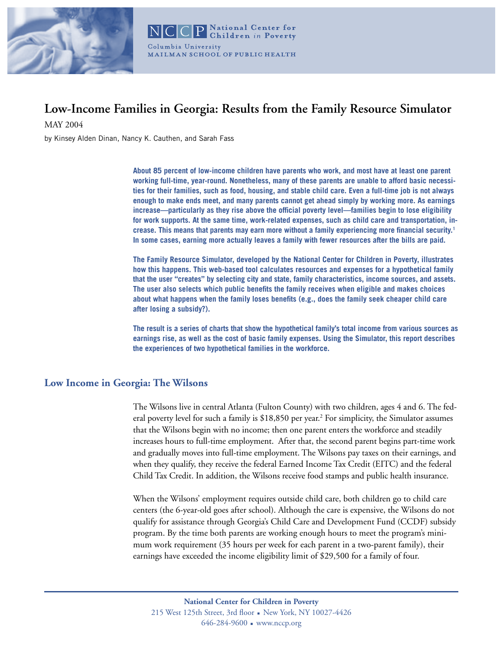

# **Low-Income Families in Georgia: Results from the Family Resource Simulator**

MAY 2004

by Kinsey Alden Dinan, Nancy K. Cauthen, and Sarah Fass

**About 85 percent of low-income children have parents who work, and most have at least one parent working full-time, year-round. Nonetheless, many of these parents are unable to afford basic necessities for their families, such as food, housing, and stable child care. Even a full-time job is not always enough to make ends meet, and many parents cannot get ahead simply by working more. As earnings increase—particularly as they rise above the official poverty level—families begin to lose eligibility for work supports. At the same time, work-related expenses, such as child care and transportation, increase. This means that parents may earn more without a family experiencing more financial security.1 In some cases, earning more actually leaves a family with fewer resources after the bills are paid.** 

**The Family Resource Simulator, developed by the National Center for Children in Poverty, illustrates how this happens. This web-based tool calculates resources and expenses for a hypothetical family that the user "creates" by selecting city and state, family characteristics, income sources, and assets. The user also selects which public benefits the family receives when eligible and makes choices about what happens when the family loses benefits (e.g., does the family seek cheaper child care after losing a subsidy?).** 

**The result is a series of charts that show the hypothetical family's total income from various sources as earnings rise, as well as the cost of basic family expenses. Using the Simulator, this report describes the experiences of two hypothetical families in the workforce.**

## **Low Income in Georgia: The Wilsons**

The Wilsons live in central Atlanta (Fulton County) with two children, ages 4 and 6. The federal poverty level for such a family is \$18,850 per year.<sup>2</sup> For simplicity, the Simulator assumes that the Wilsons begin with no income; then one parent enters the workforce and steadily increases hours to full-time employment. After that, the second parent begins part-time work and gradually moves into full-time employment. The Wilsons pay taxes on their earnings, and when they qualify, they receive the federal Earned Income Tax Credit (EITC) and the federal Child Tax Credit. In addition, the Wilsons receive food stamps and public health insurance.

When the Wilsons' employment requires outside child care, both children go to child care centers (the 6-year-old goes after school). Although the care is expensive, the Wilsons do not qualify for assistance through Georgia's Child Care and Development Fund (CCDF) subsidy program. By the time both parents are working enough hours to meet the program's minimum work requirement (35 hours per week for each parent in a two-parent family), their earnings have exceeded the income eligibility limit of \$29,500 for a family of four.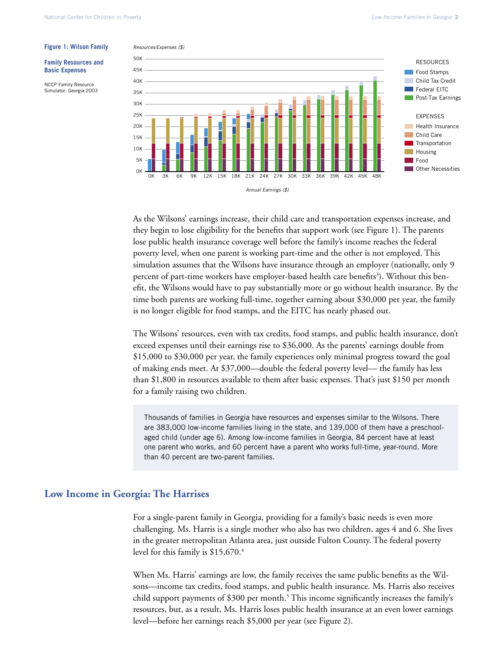#### **Figure 1: Wilson Family**

**Family Resources and Basic Expenses**

NCCP Family Resource Simulator: Georgia 2003





As the Wilsons' earnings increase, their child care and transportation expenses increase, and they begin to lose eligibility for the benefits that support work (see Figure 1). The parents lose public health insurance coverage well before the family's income reaches the federal poverty level, when one parent is working part-time and the other is not employed. This simulation assumes that the Wilsons have insurance through an employer (nationally, only 9 percent of part-time workers have employer-based health care benefits<sup>3</sup>). Without this benefit, the Wilsons would have to pay substantially more or go without health insurance. By the time both parents are working full-time, together earning about \$30,000 per year, the family is no longer eligible for food stamps, and the EITC has nearly phased out.

The Wilsons' resources, even with tax credits, food stamps, and public health insurance, don't exceed expenses until their earnings rise to \$36,000. As the parents' earnings double from \$15,000 to \$30,000 per year, the family experiences only minimal progress toward the goal of making ends meet. At \$37,000—double the federal poverty level— the family has less than \$1,800 in resources available to them after basic expenses. That's just \$150 per month for a family raising two children.

Thousands of families in Georgia have resources and expenses similar to the Wilsons. There are 383,000 low-income families living in the state, and 139,000 of them have a preschoolaged child (under age 6). Among low-income families in Georgia, 84 percent have at least one parent who works, and 60 percent have a parent who works full-time, year-round. More than 40 percent are two-parent families.

## **Low Income in Georgia: The Harrises**

For a single-parent family in Georgia, providing for a family's basic needs is even more challenging. Ms. Harris is a single mother who also has two children, ages 4 and 6. She lives in the greater metropolitan Atlanta area, just outside Fulton County. The federal poverty level for this family is \$15,670.<sup>4</sup>

When Ms. Harris' earnings are low, the family receives the same public benefits as the Wilsons—income tax credits, food stamps, and public health insurance. Ms. Harris also receives child support payments of \$300 per month.<sup>5</sup> This income significantly increases the family's resources, but, as a result, Ms. Harris loses public health insurance at an even lower earnings level—before her earnings reach \$5,000 per year (see Figure 2).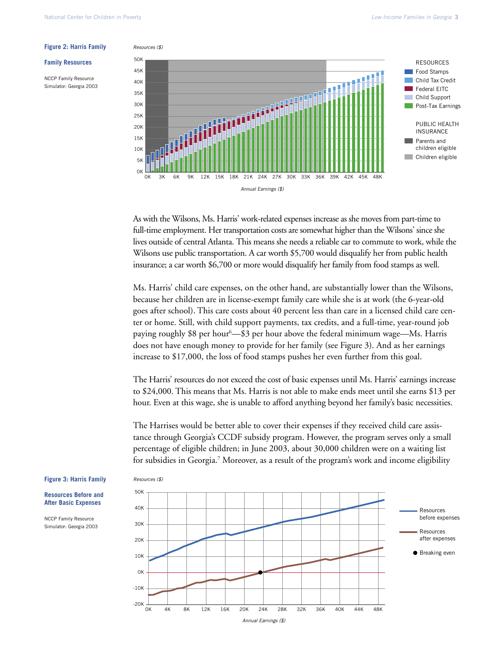#### Resources (\$)

**Family Resources** 

NCCP Family Resource Simulator: Georgia 2003



As with the Wilsons, Ms. Harris' work-related expenses increase as she moves from part-time to full-time employment. Her transportation costs are somewhat higher than the Wilsons' since she lives outside of central Atlanta. This means she needs a reliable car to commute to work, while the Wilsons use public transportation. A car worth \$5,700 would disqualify her from public health insurance; a car worth \$6,700 or more would disqualify her family from food stamps as well.

Ms. Harris' child care expenses, on the other hand, are substantially lower than the Wilsons, because her children are in license-exempt family care while she is at work (the 6-year-old goes after school). This care costs about 40 percent less than care in a licensed child care center or home. Still, with child support payments, tax credits, and a full-time, year-round job paying roughly \$8 per hour<sup>6</sup>—\$3 per hour above the federal minimum wage—Ms. Harris does not have enough money to provide for her family (see Figure 3). And as her earnings increase to \$17,000, the loss of food stamps pushes her even further from this goal.

The Harris' resources do not exceed the cost of basic expenses until Ms. Harris' earnings increase to \$24,000. This means that Ms. Harris is not able to make ends meet until she earns \$13 per hour. Even at this wage, she is unable to afford anything beyond her family's basic necessities.

The Harrises would be better able to cover their expenses if they received child care assistance through Georgia's CCDF subsidy program. However, the program serves only a small percentage of eligible children; in June 2003, about 30,000 children were on a waiting list for subsidies in Georgia.<sup>7</sup> Moreover, as a result of the program's work and income eligibility



### **Figure 3: Harris Family**

**Resources Before and After Basic Expenses**

NCCP Family Resource Simulator: Georgia 2003